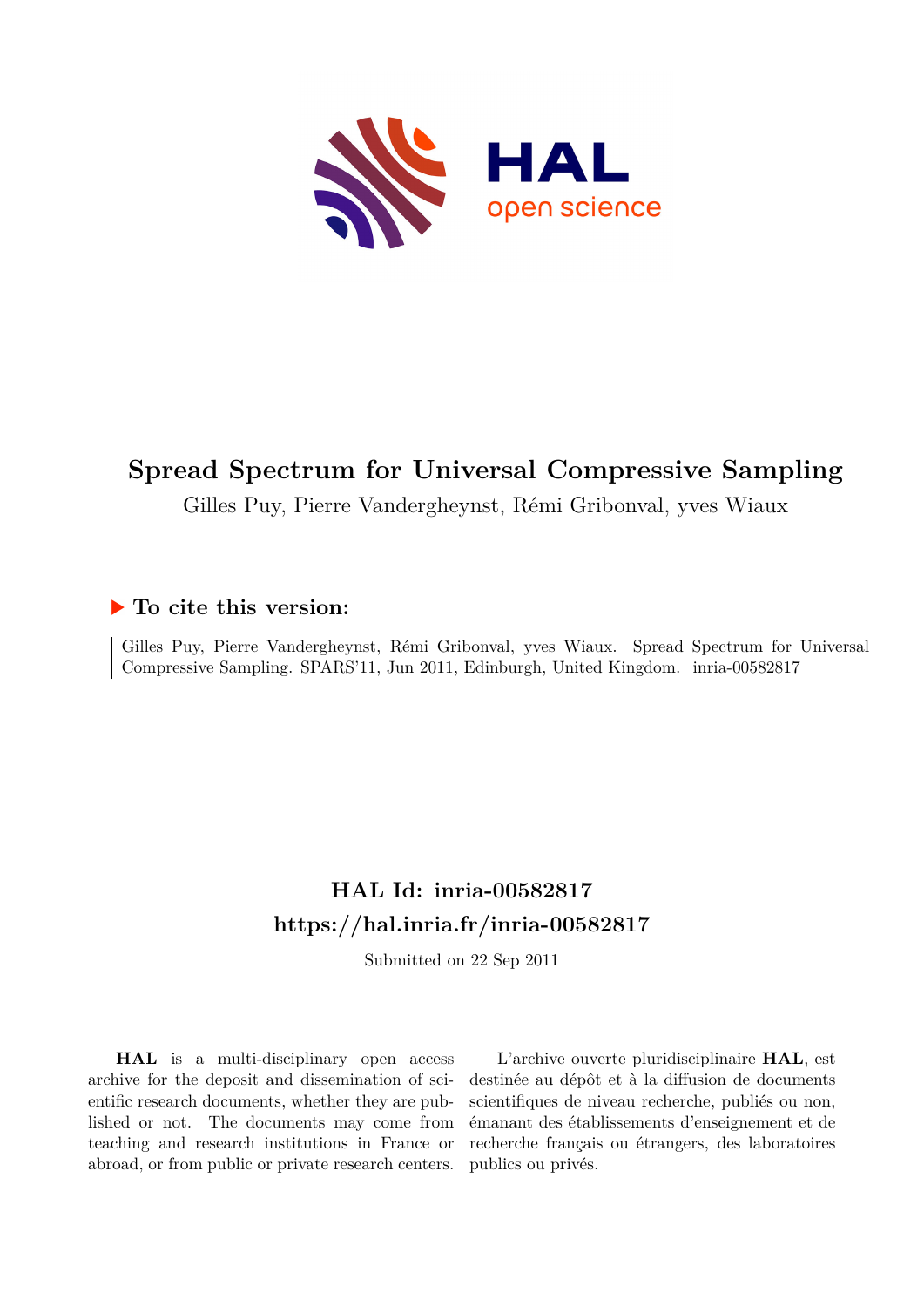

# **Spread Spectrum for Universal Compressive Sampling**

Gilles Puy, Pierre Vandergheynst, Rémi Gribonval, yves Wiaux

## **To cite this version:**

Gilles Puy, Pierre Vandergheynst, Rémi Gribonval, yves Wiaux. Spread Spectrum for Universal Compressive Sampling. SPARS'11, Jun 2011, Edinburgh, United Kingdom. inria-00582817

# **HAL Id: inria-00582817 <https://hal.inria.fr/inria-00582817>**

Submitted on 22 Sep 2011

**HAL** is a multi-disciplinary open access archive for the deposit and dissemination of scientific research documents, whether they are published or not. The documents may come from teaching and research institutions in France or abroad, or from public or private research centers.

L'archive ouverte pluridisciplinaire **HAL**, est destinée au dépôt et à la diffusion de documents scientifiques de niveau recherche, publiés ou non, émanant des établissements d'enseignement et de recherche français ou étrangers, des laboratoires publics ou privés.